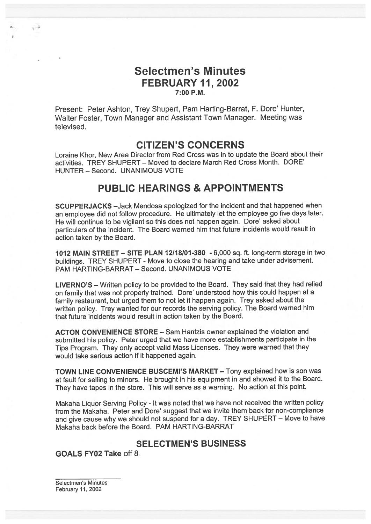## Selectmen's Minutes FEBRUARY 11,2002 7:00 P.M.

Present: Peter Ashton, Trey Shupert, Pam Harting-Barrat, F. Dore' Hunter, Walter Foster, Town Manager and Assistant Town Manager. Meeting was televised.

# CITIZEN'S CONCERNS

Loraine Khor, New Area Director from Red Cross was in to update the Board about their activities. TREY SHUPERT — Moved to declare March Red Cross Month. DORE' HUNTER — Second. UNANIMOUS VOTE

# PUBLIC HEARINGS & APPOINTMENTS

SCUPPERJACKS —Jack Mendosa apologized for the incident and that happened when an employee did not follow procedure. He ultimately let the employee go five days later. He will continue to be vigilant so this does not happen again. Dore' asked about particulars of the incident. The Board warned him that future incidents would result in action taken by the Board.

<sup>1012</sup> MAIN STREET — SITE PLAN 12118101-380 -6,000 sq. ft. long-term storage in two buildings. TREY SHUPERT - Move to close the hearing and take under advisement. PAM HARTING-BARRAT — Second. UNANIMOUS VOTE

LIVERNO'S — Written policy to be provided to the Board. They said that they had relied on family that was not properly trained. Dore' understood how this could happen at <sup>a</sup> family restaurant, but urge<sup>d</sup> them to not let it happen again. Trey asked about the written policy. Trey wanted for our records the serving policy. The Board warned him that future incidents would result in action taken by the Board.

ACTON CONVENIENCE STORE — Sam Hantzis owner explained the violation and submitted his policy. Peter urge<sup>d</sup> that we have more establishments participate in the Tips Program. They only accept valid Mass Licenses. They were warned that they would take serious action if it happened again.

TOWN LINE CONVENIENCE BUSCEMI'S MARKET — Tony explained how is son was at fault for selling to minors. He brought in his equipment in and showed it to the Board. They have tapes in the store. This will serve as <sup>a</sup> warning. No action at this point.

Makaha Liquor Serving Policy - It was noted that we have not received the written policy from the Makaha. Peter and Dore' suggest that we invite them back for non-compliance and <sup>g</sup>ive cause why we should not suspen<sup>d</sup> for <sup>a</sup> day. TREY SHUPERT — Move to have Makaha back before the Board. PAM HARTING-BARRAT

### SELECTMEN'S BUSINESS

GOALS FY02 Take off 8

Selectmen's Minutes February 11,2002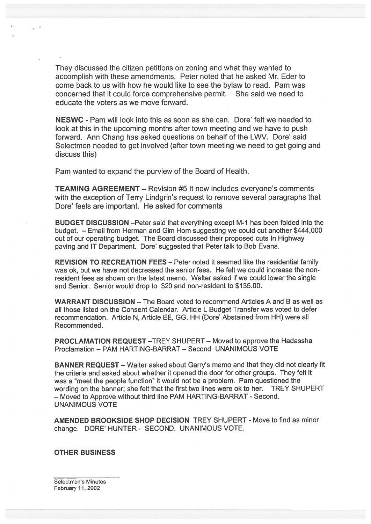They discussed the citizen petitions on zoning and what they wanted to accomplish with these amendments. Peter noted that he asked Mr. Eder to come back to us with how he would like to see the bylaw to read. Pam was concerned that it could force comprehensive permit. She said we need to educate the voters as we move forward.

NESWC - Pam will look into this as soon as she can. Dore' felt we needed to look at this in the upcoming months after town meeting and we have to push forward. Ann Chang has asked questions on behalf of the LWV. Dore' said Selectmen needed to ge<sup>t</sup> involved (after town meeting we need to ge<sup>t</sup> going and discuss this)

Pam wanted to expand the purview of the Board of Health.

TEAMING AGREEMENT — Revision #5 It now includes everyone's comments with the exception of Terry Lindgrin's request to remove several paragraphs that Dore' feels are important. He asked for comments

BUDGET DISCUSSION —Peter said that everything excep<sup>t</sup> M-1 has been folded into the budget. — Email from Herman and Gim Horn suggesting we could cut another \$444,000 out of our operating budget. The Board discussed their proposed cuts In Highway paving and IT Department. Dore' suggested that Peter talk to Bob Evans.

REVISION TO RECREATION FEES — Peter noted it seemed like the residential family was ok, but we have not decreased the senior fees. He felt we could increase the non resident fees as shown on the latest memo. Walter asked if we could lower the single and Senior. Senior would drop to \$20 and non-resident to \$135.00.

WARRANT DISCUSSION — The Board voted to recommend Articles A and B as well as all those listed on the Consent Calendar. Article L Budget Transfer was voted to defer recommendation. Article N, Article EE, GG, HH (Dote' Abstained from HH) were all Recommended.

PROCLAMATION REQUEST —TREY SHUPERT — Moved to approve the Hadassha Proclamation — PAM HARTING-BARRAT — Second UNANIMOUS VOTE

BANNER REQUEST — Walter asked about Garry's memo and that they did not clearly fit the criteria and asked about whether it opened the door for other groups. They felt it was <sup>a</sup> "meet the people function" it would not be <sup>a</sup> problem. Pam questioned the wording on the banner; she felt that the first two lines were ok to her. TREY SHUPERT — Moved to Approve without third line PAM HARTING-BARRAT - Second. UNANIMOUS VOTE

AMENDED BROOKSIDE SHOP DECISION TREY SHUPERT - Move to find as minor change. DORE' HUNTER - SECOND. UNANIMOUS VOTE.

OTHER BUSINESS

Selectmen's Minutes February 11,2002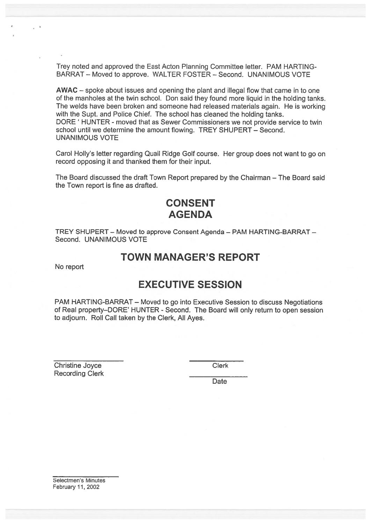Trey noted and approved the East Acton Planning Committee letter. PAM HARTING BARRAT — Moved to approve. WALTER FOSTER — Second. UNANIMOUS VOTE

AWAC — spoke about issues and opening the plant and illegal flow that came in to one of the manholes at the twin school. Don said they found more liquid in the holding tanks. The welds have been broken and someone had released materials again. He is working with the Supt. and Police Chief. The school has cleaned the holding tanks. DORE' HUNTER - moved that as Sewer Commissioners we not provide service to twin school until we determine the amount flowing. TREY SHUPERT — Second. UNANIMOUS VOTE Trey noted and approved the East Acton Planning Comm<br>
BARRAT – Moved to approve. WALTER FOSTER – Sec<br>
AWAC – spoke about issues and opening the plant and if<br>
of the manholes at the twin school. Don said they found<br>
The wel

Carol Holly's letter regarding Quail Ridge Golf course. Her group does not want to go on record opposing it and thanked them for their input.

The Board discussed the draft Town Report prepared by the Chairman — The Board said the Town repor<sup>t</sup> is fine as drafted.

# CONSENT AGENDA

TREY SHUPERT — Moved to approve Consent Agenda — PAM HARTING-BARRAT — Second. UNANIMOUS VOTE

# TOWN MANAGER'S REPORT

No repor<sup>t</sup>

# EXECUTIVE SESSION

PAM HARTING-BARRAT — Moved to go into Executive Session to discuss Negotiations of Real property—DORE' HUNTER - Second. The Board will only return to open session to adjourn. Roll Call taken by the Clerk, All Ayes.

**Christine Joyce Clerk** 

Date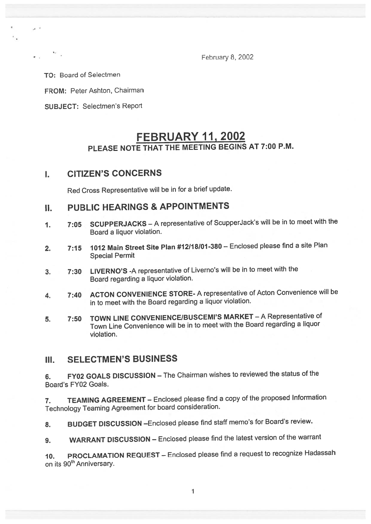February 8, 2002

To: Board of Selectmen

FROM: Peter Ashton, Chairman

SUBJECT: Selectmen's Report

# FEBRUARY 11, 2002 PLEASE NOTE THAT THE MEETING BEGINS AT 7:00 P.M.

### I. CITIZEN'S CONCERNS

Red Cross Representative will be in for <sup>a</sup> brief update.

# II. PUBLIC HEARINGS & APPOINTMENTS

- 1. 7:05 SCUPPERJACKS <sup>A</sup> representative of ScupperJack's will be in to meet with the Board <sup>a</sup> liquor violation.
- 2. 7:15 <sup>1012</sup> Main Street Site Plan #12118101-380 Enclosed <sup>p</sup>lease find <sup>a</sup> site Plan Special Permit
- 3. 7:30 LIVERNO'S -A representative of Liverno's will be in to meet with the Board regarding <sup>a</sup> liquor violation.
- 4. 7:40 ACTON CONVENIENCE STORE- <sup>A</sup> representative of Acton Convenience will be in to meet with the Board regarding <sup>a</sup> liquor violation.
- 5. 7:50 TOWN LINE CONVENIENCE/BUSCEMI'S MARKET A Representative of Town Line Convenience will be in to meet with the Board regarding <sup>a</sup> liquor violation.

### III. SELECTMEN'S BUSINESS

6. FY02 GOALS DISCUSSION — The Chairman wishes to reviewed the status of the Board's FY02 Goals.

7. TEAMING AGREEMENT — Enclosed <sup>p</sup>lease find <sup>a</sup> copy of the propose<sup>d</sup> Information Technology Teaming Agreement for board consideration.

8. BUDGET DISCUSSION - Enclosed please find staff memo's for Board's review.

9. WARRANT DISCUSSION — Enclosed <sup>p</sup>lease find the latest version of the warrant

10. PROCLAMATION REQUEST — Enclosed <sup>p</sup>lease find <sup>a</sup> reques<sup>t</sup> to recognize Hadassah on its 90<sup>th</sup> Anniversary.